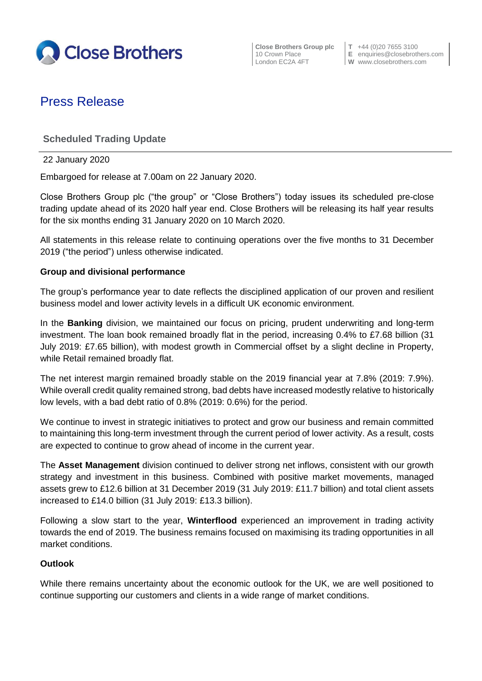

**Close Brothers Group plc**  $\begin{bmatrix} T & +44 & (0)20 & 7655 & 3100 \\ 10 & Crown \text{ Place} & E & \text{equities} & \text{E} \end{bmatrix}$ 

**E** enquiries@closebrothers.com London EC2A 4FT **W** www.closebrothers.com

# Press Release

# **Scheduled Trading Update**

22 January 2020

Embargoed for release at 7.00am on 22 January 2020.

Close Brothers Group plc ("the group" or "Close Brothers") today issues its scheduled pre-close trading update ahead of its 2020 half year end. Close Brothers will be releasing its half year results for the six months ending 31 January 2020 on 10 March 2020.

All statements in this release relate to continuing operations over the five months to 31 December 2019 ("the period") unless otherwise indicated.

## **Group and divisional performance**

The group's performance year to date reflects the disciplined application of our proven and resilient business model and lower activity levels in a difficult UK economic environment.

In the **Banking** division, we maintained our focus on pricing, prudent underwriting and long-term investment. The loan book remained broadly flat in the period, increasing 0.4% to £7.68 billion (31 July 2019: £7.65 billion), with modest growth in Commercial offset by a slight decline in Property, while Retail remained broadly flat.

The net interest margin remained broadly stable on the 2019 financial year at 7.8% (2019: 7.9%). While overall credit quality remained strong, bad debts have increased modestly relative to historically low levels, with a bad debt ratio of 0.8% (2019: 0.6%) for the period.

We continue to invest in strategic initiatives to protect and grow our business and remain committed to maintaining this long-term investment through the current period of lower activity. As a result, costs are expected to continue to grow ahead of income in the current year.

The **Asset Management** division continued to deliver strong net inflows, consistent with our growth strategy and investment in this business. Combined with positive market movements, managed assets grew to £12.6 billion at 31 December 2019 (31 July 2019: £11.7 billion) and total client assets increased to £14.0 billion (31 July 2019: £13.3 billion).

Following a slow start to the year, **Winterflood** experienced an improvement in trading activity towards the end of 2019. The business remains focused on maximising its trading opportunities in all market conditions.

### **Outlook**

While there remains uncertainty about the economic outlook for the UK, we are well positioned to continue supporting our customers and clients in a wide range of market conditions.